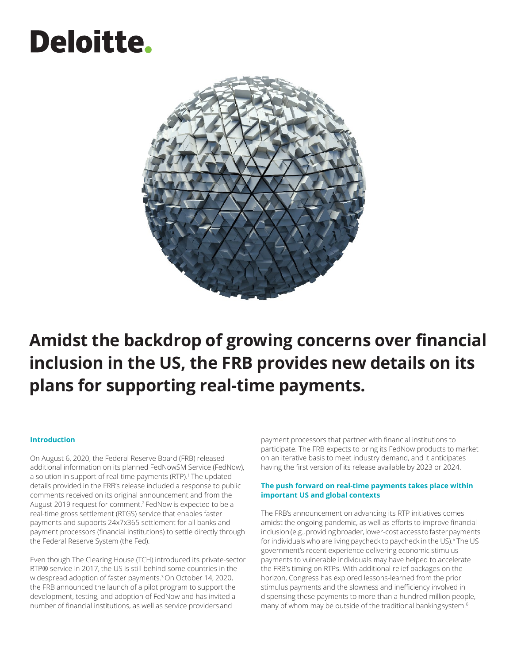# Deloitte.



# **Amidst the backdrop of growing concerns over financial inclusion in the US, the FRB provides new details on its plans for supporting real-time payments.**

#### **Introduction**

On August 6, 2020, the Federal Reserve Board (FRB) released additional information on its planned FedNowSM Service (FedNow), a solution in support of real-time payments (RTP).<sup>1</sup> The updated details provided in the FRB's release included a response to public comments received on its original announcement and from the August 2019 request for comment.2 FedNow is expected to be a real-time gross settlement (RTGS) service that enables faster payments and supports 24x7x365 settlement for all banks and payment processors (financial institutions) to settle directly through the Federal Reserve System (the Fed).

Even though The Clearing House (TCH) introduced its private-sector RTP® service in 2017, the US is still behind some countries in the widespread adoption of faster payments.<sup>3</sup> On October 14, 2020, the FRB announced the launch of a pilot program to support the development, testing, and adoption of FedNow and has invited a number of financial institutions, as well as service providersand

payment processors that partner with financial institutions to participate. The FRB expects to bring its FedNow products to market on an iterative basis to meet industry demand, and it anticipates having the first version of its release available by 2023 or 2024.

#### **The push forward on real-time payments takes place within important US and global contexts**

The FRB's announcement on advancing its RTP initiatives comes amidst the ongoing pandemic, as well as efforts to improve financial inclusion (e.g., providing broader, lower-cost access to faster payments for individuals who are living paycheck to paycheck in the US).<sup>5</sup> The US government's recent experience delivering economic stimulus payments to vulnerable individuals may have helped to accelerate the FRB's timing on RTPs. With additional relief packages on the horizon, Congress has explored lessons-learned from the prior stimulus payments and the slowness and inefficiency involved in dispensing these payments to more than a hundred million people, many of whom may be outside of the traditional bankingsystem.<sup>6</sup>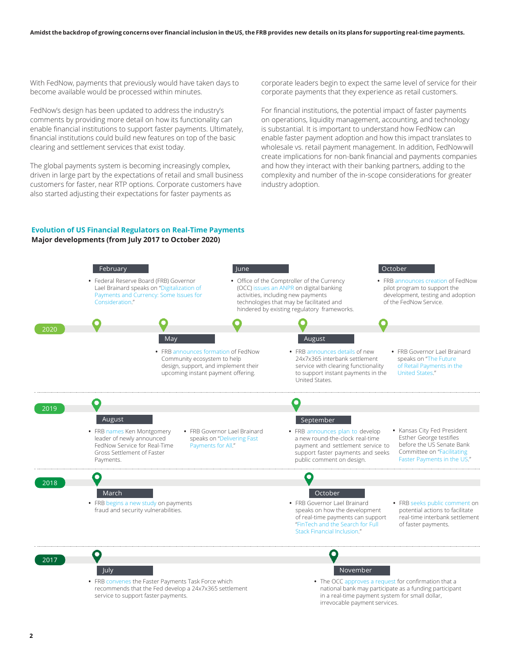With FedNow, payments that previously would have taken days to become available would be processed within minutes.

FedNow's design has been updated to address the industry's comments by providing more detail on how its functionality can enable financial institutions to support faster payments. Ultimately, financial institutions could build new features on top of the basic clearing and settlement services that exist today.

The global payments system is becoming increasingly complex, driven in large part by the expectations of retail and small business customers for faster, near RTP options. Corporate customers have also started adjusting their expectations for faster payments as

corporate leaders begin to expect the same level of service for their corporate payments that they experience as retail customers.

For financial institutions, the potential impact of faster payments on operations, liquidity management, accounting, and technology is substantial. It is important to understand how FedNow can enable faster payment adoption and how this impact translates to wholesale vs. retail payment management. In addition, FedNowwill create implications for non-bank financial and payments companies and how they interact with their banking partners, adding to the complexity and number of the in-scope considerations for greater industry adoption.

#### **Evolution of US Financial Regulators on Real-Time Payments Major developments (from July 2017 to October 2020)**

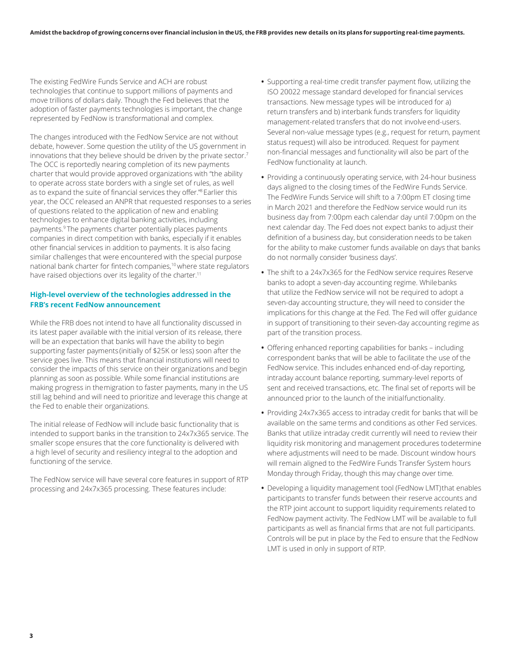The existing FedWire Funds Service and ACH are robust technologies that continue to support millions of payments and move trillions of dollars daily. Though the Fed believes that the adoption of faster payments technologies is important, the change represented by FedNow is transformational and complex.

The changes introduced with the FedNow Service are not without debate, however. Some question the utility of the US government in innovations that they believe should be driven by the private sector.<sup>7</sup> The OCC is reportedly nearing completion of its new payments charter that would provide approved organizations with "the ability to operate across state borders with a single set of rules, as well as to expand the suite of financial services they offer."<sup>8</sup> Earlier this year, the OCC released an ANPR that requested responses to a series of questions related to the application of new and enabling technologies to enhance digital banking activities, including payments.9 The payments charter potentially places payments companies in direct competition with banks, especially if it enables other financial services in addition to payments. It is also facing similar challenges that were encountered with the special purpose national bank charter for fintech companies,<sup>10</sup> where state regulators have raised objections over its legality of the charter.<sup>11</sup>

#### **High-level overview of the technologies addressed in the FRB's recent FedNow announcement**

While the FRB does not intend to have all functionality discussed in its latest paper available with the initial version of its release, there will be an expectation that banks will have the ability to begin supporting faster payments (initially of \$25K or less) soon after the service goes live. This means that financial institutions will need to consider the impacts of this service on their organizations and begin planning as soon as possible. While some financial institutions are making progress in themigration to faster payments, many in the US still lag behind and will need to prioritize and leverage this change at the Fed to enable their organizations.

The initial release of FedNow will include basic functionality that is intended to support banks in the transition to 24x7x365 service. The smaller scope ensures that the core functionality is delivered with a high level of security and resiliency integral to the adoption and functioning of the service.

The FedNow service will have several core features in support of RTP processing and 24x7x365 processing. These features include:

- **•** Supporting a real-time credit transfer payment flow, utilizing the ISO 20022 message standard developed for financial services transactions. New message types will be introduced for a) return transfers and b) interbank funds transfers for liquidity management-related transfers that do not involveend-users. Several non-value message types (e.g., request for return, payment status request) will also be introduced. Request for payment non-financial messages and functionality will also be part of the FedNow functionality at launch.
- **•** Providing a continuously operating service, with 24-hour business days aligned to the closing times of the FedWire Funds Service. The FedWire Funds Service will shift to a 7:00pm ET closing time in March 2021 and therefore the FedNow service would run its business day from 7:00pm each calendar day until 7:00pm on the next calendar day. The Fed does not expect banks to adjust their definition of a business day, but consideration needs to be taken for the ability to make customer funds available on days that banks do not normally consider 'business days'.
- **•** The shift to a 24x7x365 for the FedNow service requires Reserve banks to adopt a seven-day accounting regime. Whilebanks that utilize the FedNow service will not be required to adopt a seven-day accounting structure, they will need to consider the implications for this change at the Fed. The Fed will offer guidance in support of transitioning to their seven-day accounting regime as part of the transition process.
- **•** Offering enhanced reporting capabilities for banks including correspondent banks that will be able to facilitate the use of the FedNow service. This includes enhanced end-of-day reporting, intraday account balance reporting, summary-level reports of sent and received transactions, etc. The final set of reports will be announced prior to the launch of the initialfunctionality.
- **•** Providing 24x7x365 access to intraday credit for banks that will be available on the same terms and conditions as other Fed services. Banks that utilize intraday credit currently will need to review their liquidity risk monitoring and management procedures todetermine where adjustments will need to be made. Discount window hours will remain aligned to the FedWire Funds Transfer System hours Monday through Friday, though this may change over time.
- **•** Developing a liquidity management tool (FedNow LMT)that enables participants to transfer funds between their reserve accounts and the RTP joint account to support liquidity requirements related to FedNow payment activity. The FedNow LMT will be available to full participants as well as financial firms that are not full participants. Controls will be put in place by the Fed to ensure that the FedNow LMT is used in only in support of RTP.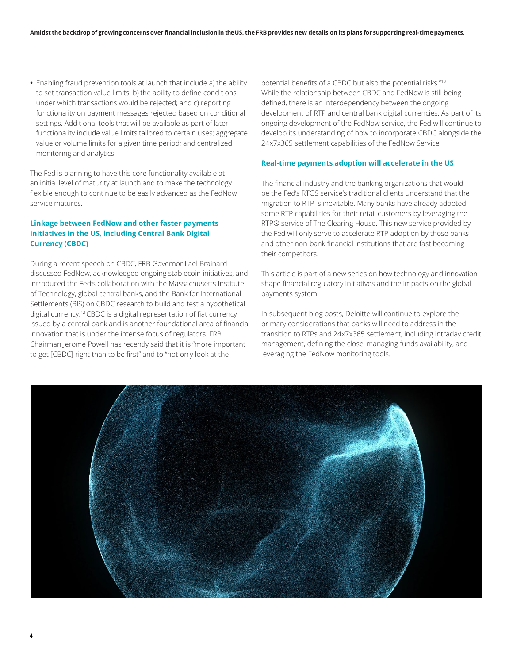**•** Enabling fraud prevention tools at launch that include a) the ability to set transaction value limits; b) the ability to define conditions under which transactions would be rejected; and c) reporting functionality on payment messages rejected based on conditional settings. Additional tools that will be available as part of later functionality include value limits tailored to certain uses; aggregate value or volume limits for a given time period; and centralized monitoring and analytics.

The Fed is planning to have this core functionality available at an initial level of maturity at launch and to make the technology flexible enough to continue to be easily advanced as the FedNow service matures.

#### **Linkage between FedNow and other faster payments initiatives in the US, including Central Bank Digital Currency (CBDC)**

During a recent speech on CBDC, FRB Governor Lael Brainard discussed FedNow, acknowledged ongoing stablecoin initiatives, and introduced the Fed's collaboration with the Massachusetts Institute of Technology, global central banks, and the Bank for International Settlements (BIS) on CBDC research to build and test a hypothetical digital currency.12 CBDC is a digital representation of fiat currency issued by a central bank and is another foundational area of financial innovation that is under the intense focus of regulators. FRB Chairman Jerome Powell has recently said that it is "more important to get [CBDC] right than to be first" and to "not only look at the

potential benefits of a CBDC but also the potential risks."13 While the relationship between CBDC and FedNow is still being defined, there is an interdependency between the ongoing development of RTP and central bank digital currencies. As part of its ongoing development of the FedNow service, the Fed will continue to develop its understanding of how to incorporate CBDC alongside the 24x7x365 settlement capabilities of the FedNow Service.

#### **Real-time payments adoption will accelerate in the US**

The financial industry and the banking organizations that would be the Fed's RTGS service's traditional clients understand that the migration to RTP is inevitable. Many banks have already adopted some RTP capabilities for their retail customers by leveraging the RTP® service of The Clearing House. This new service provided by the Fed will only serve to accelerate RTP adoption by those banks and other non-bank financial institutions that are fast becoming their competitors.

This article is part of a new series on how technology and innovation shape financial regulatory initiatives and the impacts on the global payments system.

In subsequent blog posts, Deloitte will continue to explore the primary considerations that banks will need to address in the transition to RTPs and 24x7x365 settlement, including intraday credit management, defining the close, managing funds availability, and leveraging the FedNow monitoring tools.

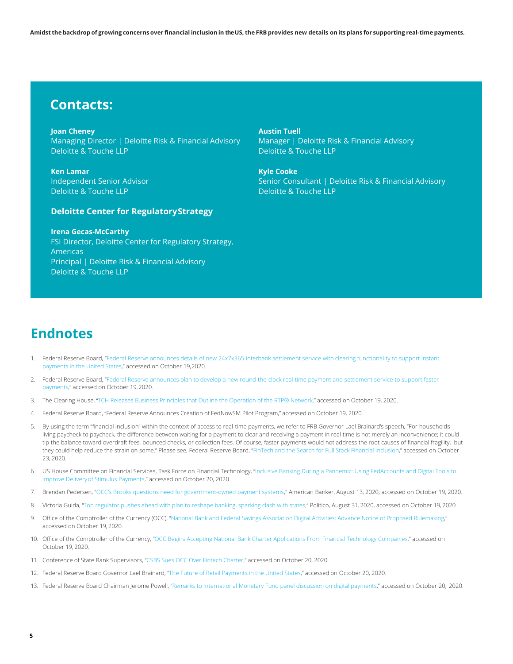### **Contacts:**

**Joan Cheney** Managing Director | Deloitte Risk & Financial Advisory Deloitte & Touche LLP

**Ken Lamar** Independent Senior Advisor Deloitte & Touche LLP

#### **Deloitte Center for RegulatoryStrategy**

**Irena Gecas-McCarthy**

FSI Director, Deloitte Center for Regulatory Strategy, Americas Principal | Deloitte Risk & Financial Advisory Deloitte & Touche LLP

**Austin Tuell** Manager | Deloitte Risk & Financial Advisory Deloitte & Touche LLP

**Kyle Cooke** Senior Consultant | Deloitte Risk & Financial Advisory Deloitte & Touche LLP

## **Endnotes**

- 1. Federal Reserve Board, ["Federal Reserve announces details of new 24x7x365 interbank settlement service with clearing functionality to support instant](https://www.federalreserve.gov/newsevents/pressreleases/other20200806a.htm) [payments in the United States,"](https://www.federalreserve.gov/newsevents/pressreleases/other20200806a.htm) accessed on October 19,2020.
- 2. Federal Reserve Board, ["Federal Reserve announces plan to develop a new round-the-clock real-time payment and settlement service to support faster](https://www.federalreserve.gov/newsevents/pressreleases/other20190805a.htm) [payments,"](https://www.federalreserve.gov/newsevents/pressreleases/other20190805a.htm) accessed on October 19, 2020.
- 3. The Clearing House, "TCH Releases Business Principles that Outline the Operation of the RTP® Network," accessed on October 19, 2020.
- 4. Federal Reserve Board, "Federal Reserve Announces Creation of [FedNowSM](https://fedpaymentsimprovement.org/news/blog/federal-reserve-announces-the-creation-of-fednowsm-pilot-program/) Pilot Program," accessed on October 19, 2020.
- 5. By using the term "financial inclusion" within the context of access to real-time payments, we refer to FRB Governor Lael Brainard's speech, "For households living paycheck to paycheck, the difference between waiting for a payment to clear and receiving a payment in real time is not merely an inconvenience; it could tip the balance toward overdraft fees, bounced checks, or collection fees. Of course, faster payments would not address the root causes of financial fragility, but they could help reduce the strain on some." Please see, Federal Reserve Board, ["FinTech and the Search for Full Stack Financial Inclusion,"](https://www.federalreserve.gov/newsevents/speech/brainard20181017a.htm) accessed on October 23, 2020.
- US House Committee on Financial Services, Task Force on Financial Technology, ["Inclusive Banking During a Pandemic: Using FedAccounts and Digital Tools to](https://financialservices.house.gov/calendar/eventsingle.aspx?EventID=406617) [Improve Deliveryof Stimulus Payments,"](https://financialservices.house.gov/calendar/eventsingle.aspx?EventID=406617) accessed on October 20, 2020.
- 7. Brendan Pedersen, ["OCC's Brooks questions need for government-owned payment systems,"](https://www.americanbanker.com/news/occs-brooks-questions-need-for-government-owned-payment-systems) American Banker, August 13, 2020, accessed on October 19, 2020.
- 8. Victoria Guida, ["Top regulator pushes ahead with plan to reshape banking, sparking clash with states,"](https://www.politico.com/news/2020/08/31/currency-comptroller-reshape-banking-406393) Politico, August 31, 2020, accessed on October 19, 2020.
- 9. Office of the Comptroller of the Currency (OCC), "National Bank and Federal Savings Association Digital Activities: Advance Notice of Proposed Rulemaking," accessed on October 19, 2020.
- 10. Office of the Comptroller of the Currency, ["OCC Begins Accepting National Bank Charter Applications From Financial Technology Companies,"](https://www.occ.gov/news-issuances/news-releases/2018/nr-occ-2018-74.html) accessed on October 19, 2020.
- 11. Conference of State Bank Supervisors, "CSBS Sues OCC Over Fintech [Charter,"](https://www.csbs.org/newsroom/csbs-sues-occ-over-fintech-charter) accessed on October 20, 2020.
- 12. Federal Reserve Board Governor Lael Brainard, "The Future of Retail [Payments](https://www.federalreserve.gov/newsevents/speech/brainard20200806a.htm) in the United States," accessed on October 20, 2020.
- 13. Federal Reserve Board Chairman Jerome Powell, ["Remarks to International Monetary Fund panel discussion on digital payments,"](https://www.cnbc.com/2020/10/19/watch-fed-chair-jerome-powell-speak-live-to-the-international-monetary-fund.html) accessed on October 20, 2020.